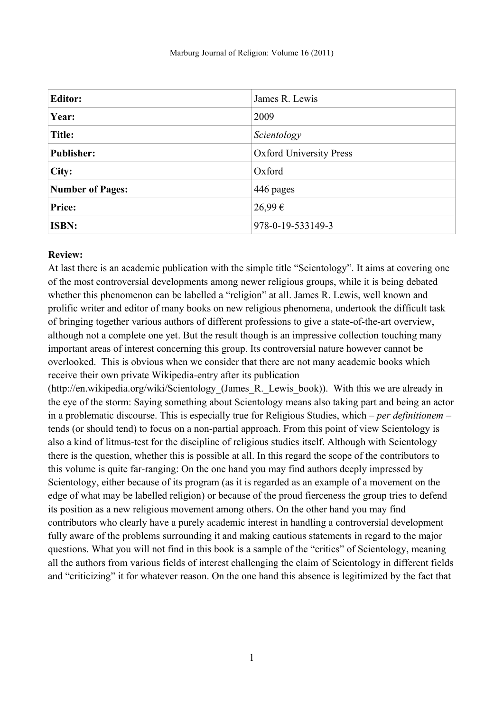| <b>Editor:</b>          | James R. Lewis                 |
|-------------------------|--------------------------------|
| Year:                   | 2009                           |
| <b>Title:</b>           | Scientology                    |
| <b>Publisher:</b>       | <b>Oxford University Press</b> |
| City:                   | Oxford                         |
| <b>Number of Pages:</b> | 446 pages                      |
| Price:                  | 26,99€                         |
| <b>ISBN:</b>            | 978-0-19-533149-3              |

## **Review:**

At last there is an academic publication with the simple title "Scientology". It aims at covering one of the most controversial developments among newer religious groups, while it is being debated whether this phenomenon can be labelled a "religion" at all. James R. Lewis, well known and prolific writer and editor of many books on new religious phenomena, undertook the difficult task of bringing together various authors of different professions to give a state-of-the-art overview, although not a complete one yet. But the result though is an impressive collection touching many important areas of interest concerning this group. Its controversial nature however cannot be overlooked. This is obvious when we consider that there are not many academic books which receive their own private Wikipedia-entry after its publication

(http://en.wikipedia.org/wiki/Scientology (James R. Lewis book)). With this we are already in the eye of the storm: Saying something about Scientology means also taking part and being an actor in a problematic discourse. This is especially true for Religious Studies, which – *per definitionem* – tends (or should tend) to focus on a non-partial approach. From this point of view Scientology is also a kind of litmus-test for the discipline of religious studies itself. Although with Scientology there is the question, whether this is possible at all. In this regard the scope of the contributors to this volume is quite far-ranging: On the one hand you may find authors deeply impressed by Scientology, either because of its program (as it is regarded as an example of a movement on the edge of what may be labelled religion) or because of the proud fierceness the group tries to defend its position as a new religious movement among others. On the other hand you may find contributors who clearly have a purely academic interest in handling a controversial development fully aware of the problems surrounding it and making cautious statements in regard to the major questions. What you will not find in this book is a sample of the "critics" of Scientology, meaning all the authors from various fields of interest challenging the claim of Scientology in different fields and "criticizing" it for whatever reason. On the one hand this absence is legitimized by the fact that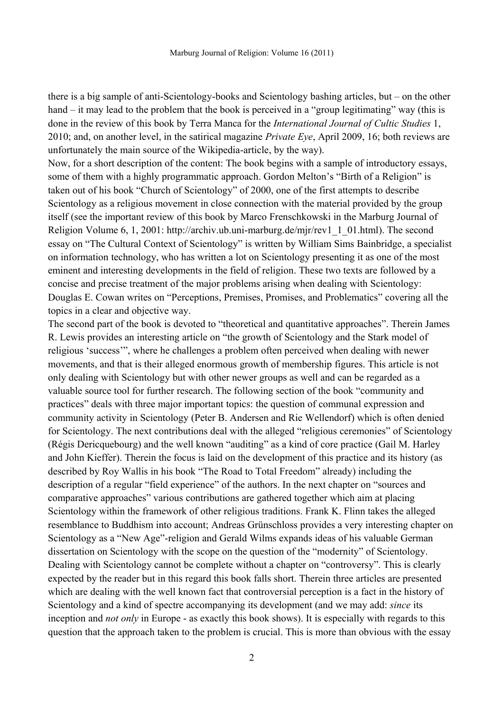there is a big sample of anti-Scientology-books and Scientology bashing articles, but – on the other hand – it may lead to the problem that the book is perceived in a "group legitimating" way (this is done in the review of this book by Terra Manca for the *International Journal of Cultic Studies* 1, 2010; and, on another level, in the satirical magazine *Private Eye*, April 2009, 16; both reviews are unfortunately the main source of the Wikipedia-article, by the way).

Now, for a short description of the content: The book begins with a sample of introductory essays, some of them with a highly programmatic approach. Gordon Melton's "Birth of a Religion" is taken out of his book "Church of Scientology" of 2000, one of the first attempts to describe Scientology as a religious movement in close connection with the material provided by the group itself (see the important review of this book by Marco Frenschkowski in the Marburg Journal of Religion Volume 6, 1, 2001: http://archiv.ub.uni-marburg.de/mjr/rev1\_1\_01.html). The second essay on "The Cultural Context of Scientology" is written by William Sims Bainbridge, a specialist on information technology, who has written a lot on Scientology presenting it as one of the most eminent and interesting developments in the field of religion. These two texts are followed by a concise and precise treatment of the major problems arising when dealing with Scientology: Douglas E. Cowan writes on "Perceptions, Premises, Promises, and Problematics" covering all the topics in a clear and objective way.

The second part of the book is devoted to "theoretical and quantitative approaches". Therein James R. Lewis provides an interesting article on "the growth of Scientology and the Stark model of religious 'success'", where he challenges a problem often perceived when dealing with newer movements, and that is their alleged enormous growth of membership figures. This article is not only dealing with Scientology but with other newer groups as well and can be regarded as a valuable source tool for further research. The following section of the book "community and practices" deals with three major important topics: the question of communal expression and community activity in Scientology (Peter B. Andersen and Rie Wellendorf) which is often denied for Scientology. The next contributions deal with the alleged "religious ceremonies" of Scientology (Régis Dericquebourg) and the well known "auditing" as a kind of core practice (Gail M. Harley and John Kieffer). Therein the focus is laid on the development of this practice and its history (as described by Roy Wallis in his book "The Road to Total Freedom" already) including the description of a regular "field experience" of the authors. In the next chapter on "sources and comparative approaches" various contributions are gathered together which aim at placing Scientology within the framework of other religious traditions. Frank K. Flinn takes the alleged resemblance to Buddhism into account; Andreas Grünschloss provides a very interesting chapter on Scientology as a "New Age"-religion and Gerald Wilms expands ideas of his valuable German dissertation on Scientology with the scope on the question of the "modernity" of Scientology. Dealing with Scientology cannot be complete without a chapter on "controversy". This is clearly expected by the reader but in this regard this book falls short. Therein three articles are presented which are dealing with the well known fact that controversial perception is a fact in the history of Scientology and a kind of spectre accompanying its development (and we may add: *since* its inception and *not only* in Europe - as exactly this book shows). It is especially with regards to this question that the approach taken to the problem is crucial. This is more than obvious with the essay